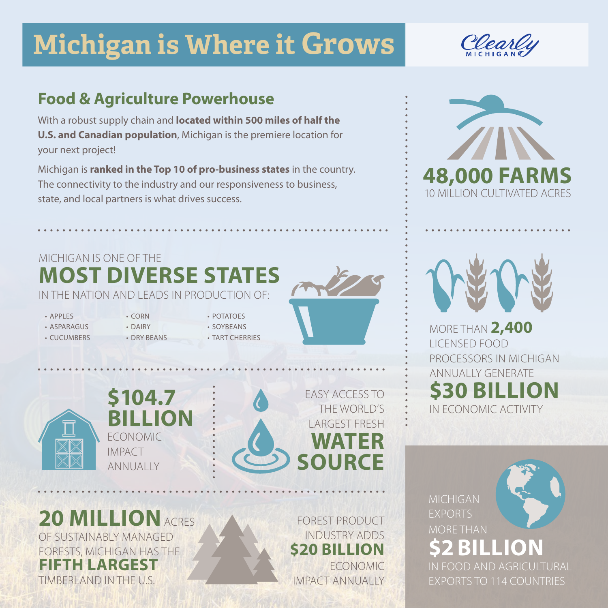# **Michigan is Where it Grows**

# **Food & Agriculture Powerhouse**

With a robust supply chain and **located within 500 miles of half the U.S. and Canadian population**, Michigan is the premiere location for your next project!

Michigan is **ranked in the Top 10 of pro-business states** in the country. The connectivity to the industry and our responsiveness to business, state, and local partners is what drives success.

# MICHIGAN IS ONE OF THE **MOST DIVERSE STATES**

IN THE NATION AND LEADS IN PRODUCTION OF:

- APPLES
- ASPARAGUS
- CUCUMBERS
- DAIRY • DRY BEANS

• CORN

- POTATOES • SOYBEANS
	- TART CHERRIES





**\$104.7 BILLION** ECONOMIC IMPACT **ANNUALLY** 



**20 MILLION**ACRES OF SUSTAINABLY MANAGED FORESTS, MICHIGAN HAS THE **FIFTH LARGEST**  TIMBERLAND IN THE U.S.

FOREST PRODUCT INDUSTRY ADDS **\$20 BILLION**  ECONOMIC IMPACT ANNUALLY





MORE THAN **2,400** LICENSED FOOD PROCESSORS IN MICHIGAN ANNUALLY GENERATE **\$30 BILLION** IN ECONOMIC ACTIVITY

MICHIGAN EXPORTS MORE THAN **\$2 BI** 

IN FOOD AND AGRICULTURAL EXPORTS TO 114 COUNTRIES